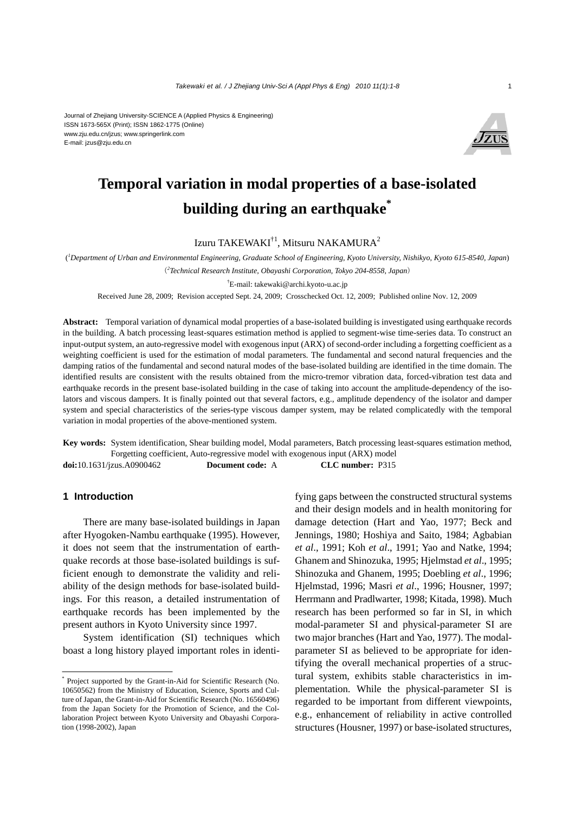

# **Temporal variation in modal properties of a base-isolated building during an earthquake\***

Izuru TAKEWAKI†1, Mitsuru NAKAMURA2

( *1 Department of Urban and Environmental Engineering, Graduate School of Engineering, Kyoto University, Nishikyo, Kyoto 615-8540, Japan*) (*2 Technical Research Institute, Obayashi Corporation, Tokyo 204-8558, Japan*)

† E-mail: takewaki@archi.kyoto-u.ac.jp

Received June 28, 2009; Revision accepted Sept. 24, 2009; Crosschecked Oct. 12, 2009; Published online Nov. 12, 2009

**Abstract:** Temporal variation of dynamical modal properties of a base-isolated building is investigated using earthquake records in the building. A batch processing least-squares estimation method is applied to segment-wise time-series data. To construct an input-output system, an auto-regressive model with exogenous input (ARX) of second-order including a forgetting coefficient as a weighting coefficient is used for the estimation of modal parameters. The fundamental and second natural frequencies and the damping ratios of the fundamental and second natural modes of the base-isolated building are identified in the time domain. The identified results are consistent with the results obtained from the micro-tremor vibration data, forced-vibration test data and earthquake records in the present base-isolated building in the case of taking into account the amplitude-dependency of the isolators and viscous dampers. It is finally pointed out that several factors, e.g., amplitude dependency of the isolator and damper system and special characteristics of the series-type viscous damper system, may be related complicatedly with the temporal variation in modal properties of the above-mentioned system.

**Key words:** System identification, Shear building model, Modal parameters, Batch processing least-squares estimation method, Forgetting coefficient, Auto-regressive model with exogenous input (ARX) model **doi:**10.1631/jzus.A0900462 **Document code:** A **CLC number:** P315

#### **1 Introduction**

There are many base-isolated buildings in Japan after Hyogoken-Nambu earthquake (1995). However, it does not seem that the instrumentation of earthquake records at those base-isolated buildings is sufficient enough to demonstrate the validity and reliability of the design methods for base-isolated buildings. For this reason, a detailed instrumentation of earthquake records has been implemented by the present authors in Kyoto University since 1997.

System identification (SI) techniques which boast a long history played important roles in identifying gaps between the constructed structural systems and their design models and in health monitoring for damage detection (Hart and Yao, 1977; Beck and Jennings, 1980; Hoshiya and Saito, 1984; Agbabian *et al*., 1991; Koh *et al*., 1991; Yao and Natke, 1994; Ghanem and Shinozuka, 1995; Hjelmstad *et al*., 1995; Shinozuka and Ghanem, 1995; Doebling *et al*., 1996; Hjelmstad, 1996; Masri *et al*., 1996; Housner, 1997; Herrmann and Pradlwarter, 1998; Kitada, 1998). Much research has been performed so far in SI, in which modal-parameter SI and physical-parameter SI are two major branches (Hart and Yao, 1977). The modalparameter SI as believed to be appropriate for identifying the overall mechanical properties of a structural system, exhibits stable characteristics in implementation. While the physical-parameter SI is regarded to be important from different viewpoints, e.g., enhancement of reliability in active controlled structures (Housner, 1997) or base-isolated structures,

<sup>\*</sup> Project supported by the Grant-in-Aid for Scientific Research (No. 10650562) from the Ministry of Education, Science, Sports and Culture of Japan, the Grant-in-Aid for Scientific Research (No. 16560496) from the Japan Society for the Promotion of Science, and the Collaboration Project between Kyoto University and Obayashi Corporation (1998-2002), Japan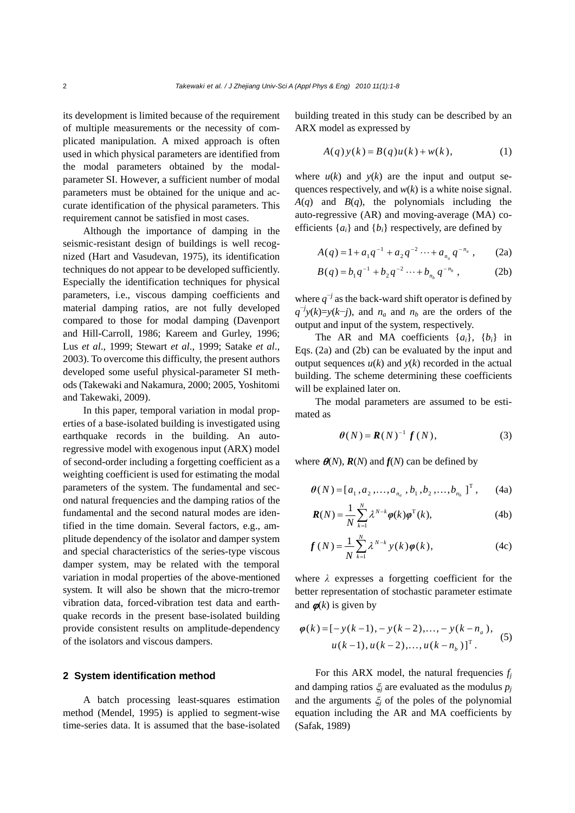its development is limited because of the requirement of multiple measurements or the necessity of complicated manipulation. A mixed approach is often used in which physical parameters are identified from the modal parameters obtained by the modalparameter SI. However, a sufficient number of modal parameters must be obtained for the unique and accurate identification of the physical parameters. This requirement cannot be satisfied in most cases.

Although the importance of damping in the seismic-resistant design of buildings is well recognized (Hart and Vasudevan, 1975), its identification techniques do not appear to be developed sufficiently. Especially the identification techniques for physical parameters, i.e., viscous damping coefficients and material damping ratios, are not fully developed compared to those for modal damping (Davenport and Hill-Carroll, 1986; Kareem and Gurley, 1996; Lus *et al*., 1999; Stewart *et al*., 1999; Satake *et al*., 2003). To overcome this difficulty, the present authors developed some useful physical-parameter SI methods (Takewaki and Nakamura, 2000; 2005, Yoshitomi and Takewaki, 2009).

In this paper, temporal variation in modal properties of a base-isolated building is investigated using earthquake records in the building. An autoregressive model with exogenous input (ARX) model of second-order including a forgetting coefficient as a weighting coefficient is used for estimating the modal parameters of the system. The fundamental and second natural frequencies and the damping ratios of the fundamental and the second natural modes are identified in the time domain. Several factors, e.g., amplitude dependency of the isolator and damper system and special characteristics of the series-type viscous damper system, may be related with the temporal variation in modal properties of the above-mentioned system. It will also be shown that the micro-tremor vibration data, forced-vibration test data and earthquake records in the present base-isolated building provide consistent results on amplitude-dependency of the isolators and viscous dampers.

#### **2 System identification method**

A batch processing least-squares estimation method (Mendel, 1995) is applied to segment-wise time-series data. It is assumed that the base-isolated building treated in this study can be described by an ARX model as expressed by

$$
A(q)y(k) = B(q)u(k) + w(k), \qquad (1)
$$

where  $u(k)$  and  $y(k)$  are the input and output sequences respectively, and *w*(*k*) is a white noise signal.  $A(q)$  and  $B(q)$ , the polynomials including the auto-regressive (AR) and moving-average (MA) coefficients {*ai*} and {*bi*} respectively, are defined by

$$
A(q) = 1 + a_1 q^{-1} + a_2 q^{-2} \cdots + a_{n_a} q^{-n_a}, \qquad (2a)
$$

$$
B(q) = b_1 q^{-1} + b_2 q^{-2} \cdots + b_{n_b} q^{-n_b}, \qquad (2b)
$$

where  $q^{-j}$  as the back-ward shift operator is defined by  $q^{-j}y(k)=y(k-j)$ , and *n<sub>a</sub>* and *n<sub>b</sub>* are the orders of the output and input of the system, respectively.

The AR and MA coefficients {*ai*}, {*bi*} in Eqs. (2a) and (2b) can be evaluated by the input and output sequences  $u(k)$  and  $y(k)$  recorded in the actual building. The scheme determining these coefficients will be explained later on.

The modal parameters are assumed to be estimated as

$$
\boldsymbol{\theta}(N) = \boldsymbol{R}(N)^{-1} \boldsymbol{f}(N), \tag{3}
$$

where  $\theta(N)$ ,  $R(N)$  and  $f(N)$  can be defined by

$$
\boldsymbol{\theta}(N) = [a_1, a_2, \dots, a_{n_a}, b_1, b_2, \dots, b_{n_b}]^{\mathrm{T}}, \qquad \text{(4a)}
$$

$$
\boldsymbol{R}(N) = \frac{1}{N} \sum_{k=1}^{N} \lambda^{N-k} \boldsymbol{\varphi}(k) \boldsymbol{\varphi}^{T}(k), \qquad (4b)
$$

$$
f(N) = \frac{1}{N} \sum_{k=1}^{N} \lambda^{N-k} y(k) \phi(k),
$$
 (4c)

where  $\lambda$  expresses a forgetting coefficient for the better representation of stochastic parameter estimate and  $\phi(k)$  is given by

$$
\varphi(k) = [-y(k-1), -y(k-2), \dots, -y(k-n_a),
$$
  
 
$$
u(k-1), u(k-2), \dots, u(k-n_b)]^{T}.
$$
 (5)

For this ARX model, the natural frequencies  $f_i$ and damping ratios  $\xi$ <sup>*j*</sup> are evaluated as the modulus  $p_j$ and the arguments  $\xi$ <sup>*j*</sup> of the poles of the polynomial equation including the AR and MA coefficients by (Safak, 1989)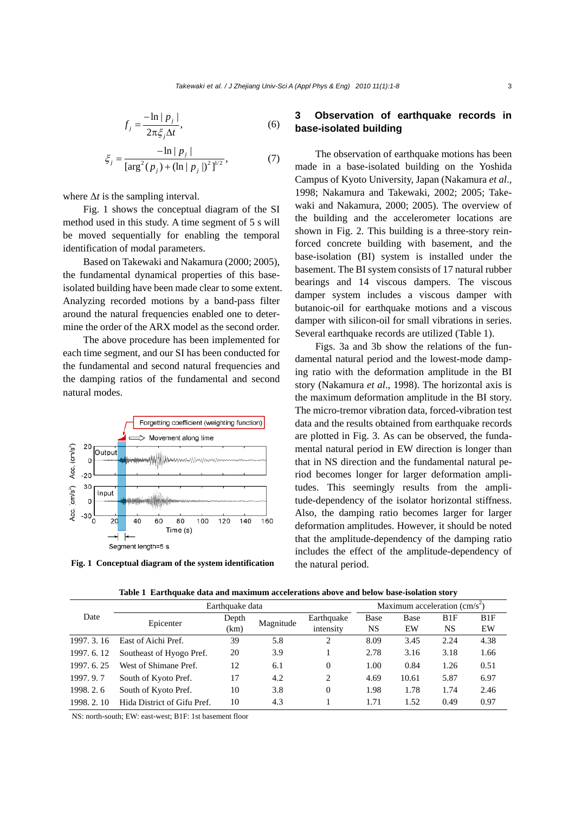$$
f_j = \frac{-\ln|p_j|}{2\pi \xi_j \Delta t},\tag{6}
$$

$$
\xi_j = \frac{-\ln|p_j|}{\left[\arg^2(p_j) + (\ln|p_j|)^2\right]^{1/2}},\tag{7}
$$

where  $\Delta t$  is the sampling interval.

Fig. 1 shows the conceptual diagram of the SI method used in this study. A time segment of 5 s will be moved sequentially for enabling the temporal identification of modal parameters.

Based on Takewaki and Nakamura (2000; 2005), the fundamental dynamical properties of this baseisolated building have been made clear to some extent. Analyzing recorded motions by a band-pass filter around the natural frequencies enabled one to determine the order of the ARX model as the second order.

The above procedure has been implemented for each time segment, and our SI has been conducted for the fundamental and second natural frequencies and the damping ratios of the fundamental and second natural modes.



**Fig. 1 Conceptual diagram of the system identification** 

## **3 Observation of earthquake records in base-isolated building**

The observation of earthquake motions has been made in a base-isolated building on the Yoshida Campus of Kyoto University, Japan (Nakamura *et al*., 1998; Nakamura and Takewaki, 2002; 2005; Takewaki and Nakamura, 2000; 2005). The overview of the building and the accelerometer locations are shown in Fig. 2. This building is a three-story reinforced concrete building with basement, and the base-isolation (BI) system is installed under the basement. The BI system consists of 17 natural rubber bearings and 14 viscous dampers. The viscous damper system includes a viscous damper with butanoic-oil for earthquake motions and a viscous damper with silicon-oil for small vibrations in series. Several earthquake records are utilized (Table 1).

Figs. 3a and 3b show the relations of the fundamental natural period and the lowest-mode damping ratio with the deformation amplitude in the BI story (Nakamura *et al*., 1998). The horizontal axis is the maximum deformation amplitude in the BI story. The micro-tremor vibration data, forced-vibration test data and the results obtained from earthquake records are plotted in Fig. 3. As can be observed, the fundamental natural period in EW direction is longer than that in NS direction and the fundamental natural period becomes longer for larger deformation amplitudes. This seemingly results from the amplitude-dependency of the isolator horizontal stiffness. Also, the damping ratio becomes larger for larger deformation amplitudes. However, it should be noted that the amplitude-dependency of the damping ratio includes the effect of the amplitude-dependency of the natural period.

| Date        | Earthquake data             |               |           |                         | Maximum acceleration $\text{(cm/s}^2)$ |            |           |           |
|-------------|-----------------------------|---------------|-----------|-------------------------|----------------------------------------|------------|-----------|-----------|
|             | Epicenter                   | Depth<br>(km) | Magnitude | Earthquake<br>intensity | Base<br>NS                             | Base<br>EW | B1F<br>NS | B1F<br>EW |
| 1997. 3. 16 | East of Aichi Pref.         | 39            | 5.8       | 2                       | 8.09                                   | 3.45       | 2.24      | 4.38      |
| 1997. 6. 12 | Southeast of Hyogo Pref.    | 20            | 3.9       |                         | 2.78                                   | 3.16       | 3.18      | 1.66      |
| 1997. 6. 25 | West of Shimane Pref.       | 12            | 6.1       | 0                       | 1.00                                   | 0.84       | 1.26      | 0.51      |
| 1997.9.7    | South of Kyoto Pref.        | 17            | 4.2       | 2                       | 4.69                                   | 10.61      | 5.87      | 6.97      |
| 1998. 2. 6  | South of Kyoto Pref.        | 10            | 3.8       | 0                       | 1.98                                   | 1.78       | 1.74      | 2.46      |
| 1998. 2. 10 | Hida District of Gifu Pref. | 10            | 4.3       |                         | 1.71                                   | 1.52       | 0.49      | 0.97      |

**Table 1 Earthquake data and maximum accelerations above and below base-isolation story** 

NS: north-south; EW: east-west; B1F: 1st basement floor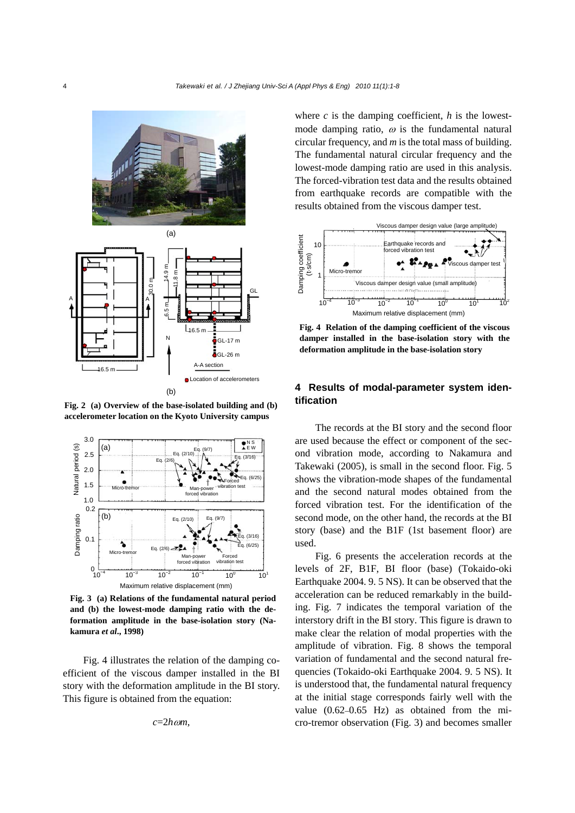



**Fig. 2 (a) Overview of the base-isolated building and (b) accelerometer location on the Kyoto University campus**



**Fig. 3 (a) Relations of the fundamental natural period and (b) the lowest-mode damping ratio with the deformation amplitude in the base-isolation story (Nakamura** *et al***., 1998)** 

Fig. 4 illustrates the relation of the damping coefficient of the viscous damper installed in the BI story with the deformation amplitude in the BI story. This figure is obtained from the equation:

$$
c=2h\omega m
$$
,

where  $c$  is the damping coefficient,  $h$  is the lowestmode damping ratio,  $\omega$  is the fundamental natural circular frequency, and *m* is the total mass of building. The fundamental natural circular frequency and the lowest-mode damping ratio are used in this analysis. The forced-vibration test data and the results obtained from earthquake records are compatible with the results obtained from the viscous damper test.



**Fig. 4 Relation of the damping coefficient of the viscous damper installed in the base-isolation story with the deformation amplitude in the base-isolation story** 

## **4 Results of modal-parameter system identification**

The records at the BI story and the second floor are used because the effect or component of the second vibration mode, according to Nakamura and Takewaki (2005), is small in the second floor. Fig. 5 shows the vibration-mode shapes of the fundamental and the second natural modes obtained from the forced vibration test. For the identification of the second mode, on the other hand, the records at the BI story (base) and the B1F (1st basement floor) are used.

Fig. 6 presents the acceleration records at the levels of 2F, B1F, BI floor (base) (Tokaido-oki Earthquake 2004. 9. 5 NS). It can be observed that the acceleration can be reduced remarkably in the building. Fig. 7 indicates the temporal variation of the interstory drift in the BI story. This figure is drawn to make clear the relation of modal properties with the amplitude of vibration. Fig. 8 shows the temporal variation of fundamental and the second natural frequencies (Tokaido-oki Earthquake 2004. 9. 5 NS). It is understood that, the fundamental natural frequency at the initial stage corresponds fairly well with the value (0.62–0.65 Hz) as obtained from the micro-tremor observation (Fig. 3) and becomes smaller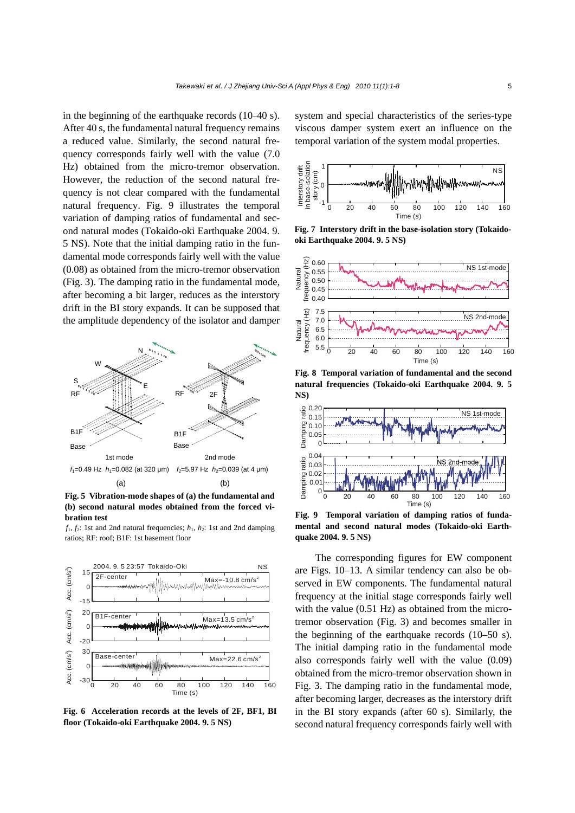in the beginning of the earthquake records (10–40 s). After 40 s, the fundamental natural frequency remains a reduced value. Similarly, the second natural frequency corresponds fairly well with the value (7.0 Hz) obtained from the micro-tremor observation. However, the reduction of the second natural frequency is not clear compared with the fundamental natural frequency. Fig. 9 illustrates the temporal variation of damping ratios of fundamental and second natural modes (Tokaido-oki Earthquake 2004. 9. 5 NS). Note that the initial damping ratio in the fundamental mode corresponds fairly well with the value (0.08) as obtained from the micro-tremor observation (Fig. 3). The damping ratio in the fundamental mode, after becoming a bit larger, reduces as the interstory drift in the BI story expands. It can be supposed that the amplitude dependency of the isolator and damper



**Fig. 5 Vibration-mode shapes of (a) the fundamental and (b) second natural modes obtained from the forced vibration test** 

 $f_1, f_2$ : 1st and 2nd natural frequencies;  $h_1, h_2$ : 1st and 2nd damping ratios; RF: roof; B1F: 1st basement floor



**Fig. 6 Acceleration records at the levels of 2F, BF1, BI floor (Tokaido-oki Earthquake 2004. 9. 5 NS)**

system and special characteristics of the series-type viscous damper system exert an influence on the temporal variation of the system modal properties.



**Fig. 7 Interstory drift in the base-isolation story (Tokaidooki Earthquake 2004. 9. 5 NS)** 



**Fig. 8 Temporal variation of fundamental and the second natural frequencies (Tokaido-oki Earthquake 2004. 9. 5 NS)** 



**Fig. 9 Temporal variation of damping ratios of fundamental and second natural modes (Tokaido-oki Earthquake 2004. 9. 5 NS)** 

The corresponding figures for EW component are Figs. 10–13. A similar tendency can also be observed in EW components. The fundamental natural frequency at the initial stage corresponds fairly well with the value (0.51 Hz) as obtained from the microtremor observation (Fig. 3) and becomes smaller in the beginning of the earthquake records (10–50 s). The initial damping ratio in the fundamental mode also corresponds fairly well with the value (0.09) obtained from the micro-tremor observation shown in Fig. 3. The damping ratio in the fundamental mode, after becoming larger, decreases as the interstory drift in the BI story expands (after 60 s). Similarly, the second natural frequency corresponds fairly well with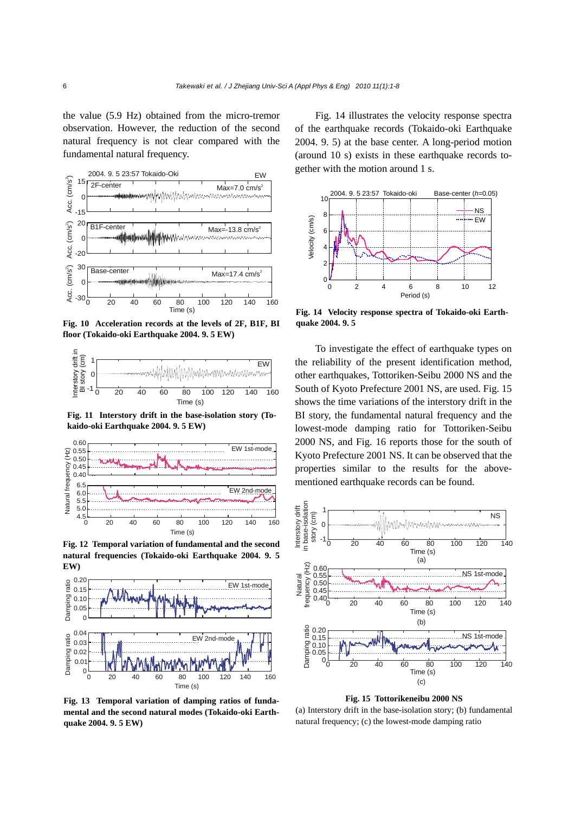the value (5.9 Hz) obtained from the micro-tremor observation. However, the reduction of the second natural frequency is not clear compared with the fundamental natural frequency.



**Fig. 10 Acceleration records at the levels of 2F, B1F, BI floor (Tokaido-oki Earthquake 2004. 9. 5 EW)**



**Fig. 11 Interstory drift in the base-isolation story (Tokaido-oki Earthquake 2004. 9. 5 EW)** 



**Fig. 12 Temporal variation of fundamental and the second natural frequencies (Tokaido-oki Earthquake 2004. 9. 5 EW)** 



**Fig. 13 Temporal variation of damping ratios of fundamental and the second natural modes (Tokaido-oki Earthquake 2004. 9. 5 EW)** 

Fig. 14 illustrates the velocity response spectra of the earthquake records (Tokaido-oki Earthquake 2004. 9. 5) at the base center. A long-period motion (around 10 s) exists in these earthquake records together with the motion around 1 s.



**Fig. 14 Velocity response spectra of Tokaido-oki Earthquake 2004. 9. 5** 

To investigate the effect of earthquake types on the reliability of the present identification method, other earthquakes, Tottoriken-Seibu 2000 NS and the South of Kyoto Prefecture 2001 NS, are used. Fig. 15 shows the time variations of the interstory drift in the BI story, the fundamental natural frequency and the lowest-mode damping ratio for Tottoriken-Seibu 2000 NS, and Fig. 16 reports those for the south of Kyoto Prefecture 2001 NS. It can be observed that the properties similar to the results for the abovementioned earthquake records can be found.



**Fig. 15 Tottorikeneibu 2000 NS** 

(a) Interstory drift in the base-isolation story; (b) fundamental natural frequency; (c) the lowest-mode damping ratio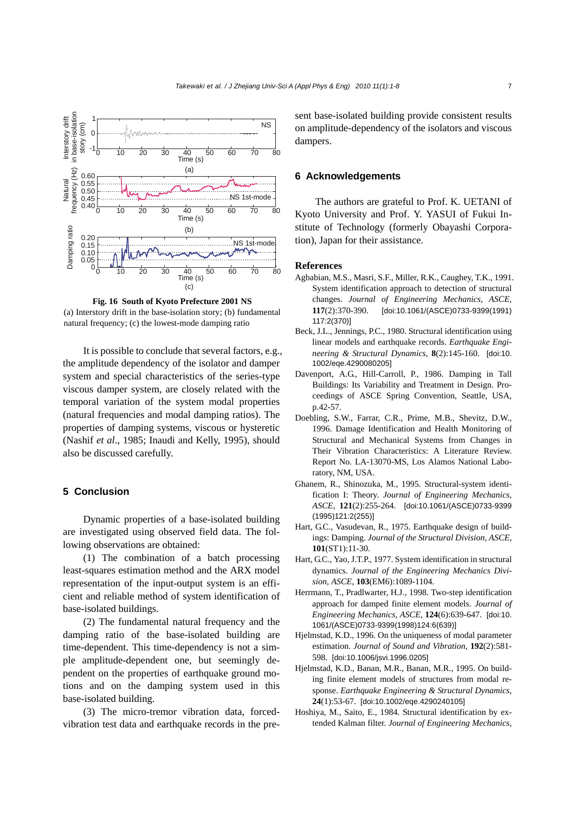

**Fig. 16 South of Kyoto Prefecture 2001 NS**  (a) Interstory drift in the base-isolation story; (b) fundamental natural frequency; (c) the lowest-mode damping ratio

It is possible to conclude that several factors, e.g., the amplitude dependency of the isolator and damper system and special characteristics of the series-type viscous damper system, are closely related with the temporal variation of the system modal properties (natural frequencies and modal damping ratios). The properties of damping systems, viscous or hysteretic (Nashif *et al*., 1985; Inaudi and Kelly, 1995), should also be discussed carefully.

## **5 Conclusion**

Dynamic properties of a base-isolated building are investigated using observed field data. The following observations are obtained:

(1) The combination of a batch processing least-squares estimation method and the ARX model representation of the input-output system is an efficient and reliable method of system identification of base-isolated buildings.

(2) The fundamental natural frequency and the damping ratio of the base-isolated building are time-dependent. This time-dependency is not a simple amplitude-dependent one, but seemingly dependent on the properties of earthquake ground motions and on the damping system used in this base-isolated building.

(3) The micro-tremor vibration data, forcedvibration test data and earthquake records in the present base-isolated building provide consistent results on amplitude-dependency of the isolators and viscous dampers.

#### **6 Acknowledgements**

The authors are grateful to Prof. K. UETANI of Kyoto University and Prof. Y. YASUI of Fukui Institute of Technology (formerly Obayashi Corporation), Japan for their assistance.

#### **References**

- Agbabian, M.S., Masri, S.F., Miller, R.K., Caughey, T.K., 1991. System identification approach to detection of structural changes. *Journal of Engineering Mechanics, ASCE*, **117**(2):370-390. [doi:10.1061/(ASCE)0733-9399(1991) 117:2(370)]
- Beck, J.L., Jennings, P.C., 1980. Structural identification using linear models and earthquake records. *Earthquake Engineering & Structural Dynamics*, **8**(2):145-160. [doi:10. 1002/eqe.4290080205]
- Davenport, A.G., Hill-Carroll, P., 1986. Damping in Tall Buildings: Its Variability and Treatment in Design. Proceedings of ASCE Spring Convention, Seattle, USA, p.42-57.
- Doebling, S.W., Farrar, C.R., Prime, M.B., Shevitz, D.W., 1996. Damage Identification and Health Monitoring of Structural and Mechanical Systems from Changes in Their Vibration Characteristics: A Literature Review. Report No. LA-13070-MS, Los Alamos National Laboratory, NM, USA.
- Ghanem, R., Shinozuka, M., 1995. Structural-system identification I: Theory. *Journal of Engineering Mechanics, ASCE*, **121**(2):255-264. [doi:10.1061/(ASCE)0733-9399 (1995)121:2(255)]
- Hart, G.C., Vasudevan, R., 1975. Earthquake design of buildings: Damping. *Journal of the Structural Division, ASCE*, **101**(ST1):11-30.
- Hart, G.C., Yao, J.T.P., 1977. System identification in structural dynamics. *Journal of the Engineering Mechanics Division, ASCE*, **103**(EM6):1089-1104.
- Herrmann, T., Pradlwarter, H.J., 1998. Two-step identification approach for damped finite element models. *Journal of Engineering Mechanics, ASCE*, **124**(6):639-647. [doi:10. 1061/(ASCE)0733-9399(1998)124:6(639)]
- Hjelmstad, K.D., 1996. On the uniqueness of modal parameter estimation. *Journal of Sound and Vibration*, **192**(2):581- 598. [doi:10.1006/jsvi.1996.0205]
- Hjelmstad, K.D., Banan, M.R., Banan, M.R., 1995. On building finite element models of structures from modal response. *Earthquake Engineering & Structural Dynamics*, **24**(1):53-67. [doi:10.1002/eqe.4290240105]
- Hoshiya, M., Saito, E., 1984. Structural identification by extended Kalman filter. *Journal of Engineering Mechanics,*